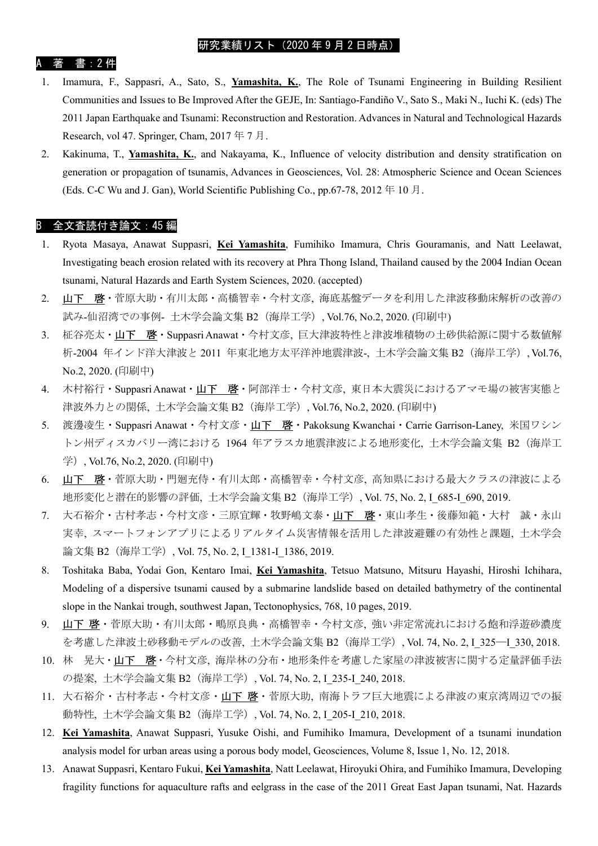## 研究業績リスト(2020 年 9 月 2 日時点)

# A 著 書:2 件

- 1. Imamura, F., Sappasri, A., Sato, S., **Yamashita, K.**, The Role of Tsunami Engineering in Building Resilient Communities and Issues to Be Improved After the GEJE, In: Santiago-Fandiño V., Sato S., Maki N., Iuchi K. (eds) The 2011 Japan Earthquake and Tsunami: Reconstruction and Restoration. Advances in Natural and Technological Hazards Research, vol 47. Springer, Cham, 2017 年 7 月.
- 2. Kakinuma, T., **Yamashita, K.**, and Nakayama, K., Influence of velocity distribution and density stratification on generation or propagation of tsunamis, Advances in Geosciences, Vol. 28: Atmospheric Science and Ocean Sciences (Eds. C-C Wu and J. Gan), World Scientific Publishing Co., pp.67-78, 2012  $\#$  10  $\#$ .

## B 全文査読付き論文:45 編

- 1. Ryota Masaya, Anawat Suppasri, **Kei Yamashita**, Fumihiko Imamura, Chris Gouramanis, and Natt Leelawat, Investigating beach erosion related with its recovery at Phra Thong Island, Thailand caused by the 2004 Indian Ocean tsunami, Natural Hazards and Earth System Sciences, 2020. (accepted)
- 2. 山下 啓・菅原大助・有川太郎・高橋智幸・今村文彦, 海底基盤データを利用した津波移動床解析の改善の 試み-仙沼湾での事例- 土木学会論文集 B2(海岸工学), Vol.76, No.2, 2020. (印刷中)
- 3. 柾谷亮太·山下 啓·Suppasri Anawat·今村文彦, 巨大津波特性と津波堆積物の土砂供給源に関する数値解 析-2004 年インド洋大津波と 2011 年東北地方太平洋沖地震津波-, 土木学会論文集 B2(海岸工学), Vol.76, No.2, 2020. (印刷中)
- 4. 木村裕行・Suppasri Anawat・山下 啓・阿部洋士・今村文彦, 東日本大震災におけるアマモ場の被害実態と 津波外力との関係, 土木学会論文集 B2(海岸工学), Vol.76, No.2, 2020. (印刷中)
- 5. 渡邊凌生・Suppasri Anawat・今村文彦・山下 啓・Pakoksung Kwanchai・Carrie Garrison-Laney, 米国ワシン トン州ディスカバリー湾における 1964 年アラスカ地震津波による地形変化, 土木学会論文集 B2 (海岸工 学), Vol.76, No.2, 2020. (印刷中)
- 6. 山下 啓・菅原大助・門廻充侍・有川太郎・高橋智幸・今村文彦, 高知県における最大クラスの津波による 地形変化と潜在的影響の評価, 土木学会論文集 B2 (海岸工学), Vol. 75, No. 2, I 685-I 690, 2019.
- 7. 大石裕介・古村孝志・今村文彦・三原宜輝・牧野嶋文泰・山下 啓・東山孝生・後藤知範・大村 誠・永山 実幸, スマートフォンアプリによるリアルタイム災害情報を活用した津波避難の有効性と課題, 土木学会 論文集 B2 (海岸工学), Vol. 75, No. 2, I\_1381-I\_1386, 2019.
- 8. Toshitaka Baba, Yodai Gon, Kentaro Imai, **Kei Yamashita**, Tetsuo Matsuno, Mitsuru Hayashi, Hiroshi Ichihara, Modeling of a dispersive tsunami caused by a submarine landslide based on detailed bathymetry of the continental slope in the Nankai trough, southwest Japan, Tectonophysics, 768, 10 pages, 2019.
- 9. 山下 啓・菅原大助・有川太郎・鴫原良典・高橋智幸・今村文彦、強い非定常流れにおける飽和浮遊砂濃度 を考慮した津波土砂移動モデルの改善, 土木学会論文集 B2(海岸工学), Vol. 74, No. 2, I\_325─I\_330, 2018.
- 10. 林 晃大・山下 啓·今村文彦, 海岸林の分布·地形条件を考慮した家屋の津波被害に関する定量評価手法 の提案, 土木学会論文集 B2(海岸工学), Vol. 74, No. 2, I\_235-I\_240, 2018.
- 11. 大石裕介・古村孝志・今村文彦・山下 啓・菅原大助, 南海トラフ巨大地震による津波の東京湾周辺での振 動特性, 土木学会論文集 B2 (海岸工学), Vol. 74, No. 2, I\_205-I\_210, 2018.
- 12. **Kei Yamashita**, Anawat Suppasri, Yusuke Oishi, and Fumihiko Imamura, Development of a tsunami inundation analysis model for urban areas using a porous body model, Geosciences, Volume 8, Issue 1, No. 12, 2018.
- 13. Anawat Suppasri, Kentaro Fukui, **Kei Yamashita**, Natt Leelawat, Hiroyuki Ohira, and Fumihiko Imamura, Developing fragility functions for aquaculture rafts and eelgrass in the case of the 2011 Great East Japan tsunami, Nat. Hazards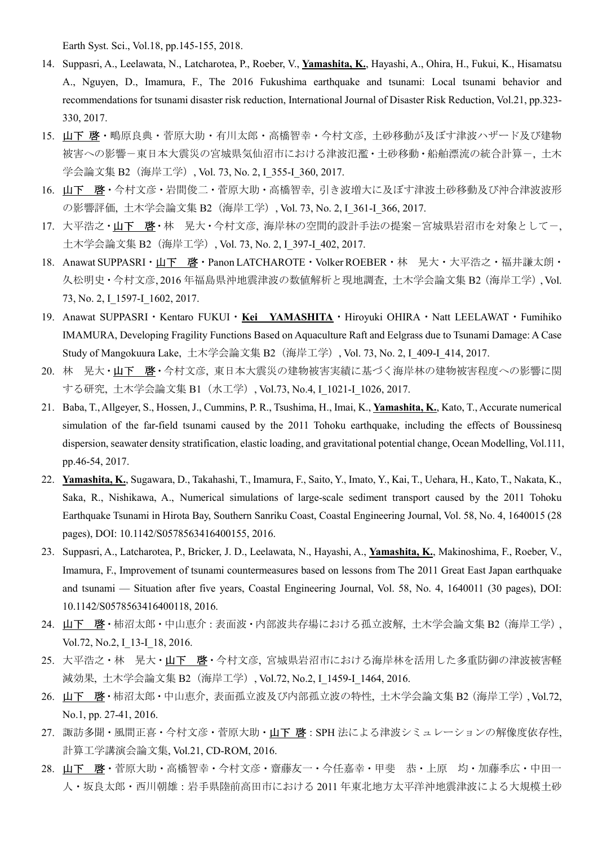Earth Syst. Sci., Vol.18, pp.145-155, 2018.

- 14. Suppasri, A., Leelawata, N., Latcharotea, P., Roeber, V., **Yamashita, K.**, Hayashi, A., Ohira, H., Fukui, K., Hisamatsu A., Nguyen, D., Imamura, F., The 2016 Fukushima earthquake and tsunami: Local tsunami behavior and recommendations for tsunami disaster risk reduction, International Journal of Disaster Risk Reduction, Vol.21, pp.323- 330, 2017.
- 15. 山下 啓・鴫原良典・菅原大助・有川太郎・高橋智幸・今村文彦, 土砂移動が及ぼす津波ハザード及び建物 被害への影響-東日本大震災の宮城県気仙沼市における津波氾濫・土砂移動・船舶漂流の統合計算-、土木 学会論文集 B2 (海岸工学), Vol. 73, No. 2, I\_355-I\_360, 2017.
- 16. 山下 啓·今村文彦·岩間俊二·菅原大助·高橋智幸, 引き波増大に及ぼす津波土砂移動及び沖合津波波形 の影響評価, 土木学会論文集 B2 (海岸工学), Vol. 73, No. 2, I\_361-I\_366, 2017.
- 17. 大平浩之・山下 啓·林 晃大·今村文彦, 海岸林の空間的設計手法の提案一宮城県岩沼市を対象としてー, 土木学会論文集 B2(海岸工学), Vol. 73, No. 2, I\_397-I\_402, 2017.
- 18. Anawat SUPPASRI・山下 啓・Panon LATCHAROTE・Volker ROEBER・林 晃大・大平浩之・福井謙太朗・ 久松明史・今村文彦, 2016 年福島県沖地震津波の数値解析と現地調査, 土木学会論文集 B2(海岸工学), Vol. 73, No. 2, I\_1597-I\_1602, 2017.
- 19. Anawat SUPPASRI・Kentaro FUKUI・**Kei YAMASHITA**・Hiroyuki OHIRA・Natt LEELAWAT・Fumihiko IMAMURA, Developing Fragility Functions Based on Aquaculture Raft and Eelgrass due to Tsunami Damage: A Case Study of Mangokuura Lake, 土木学会論文集 B2(海岸工学), Vol. 73, No. 2, I\_409-I\_414, 2017.
- 20. 林 晃大·山下 啓·今村文彦, 東日本大震災の建物被害実績に基づく海岸林の建物被害程度への影響に関 する研究, 土木学会論文集 B1 (水工学), Vol.73, No.4, I 1021-I 1026, 2017.
- 21. Baba, T., Allgeyer, S., Hossen, J., Cummins, P. R., Tsushima, H., Imai, K., **Yamashita, K.**, Kato, T., Accurate numerical simulation of the far-field tsunami caused by the 2011 Tohoku earthquake, including the effects of Boussinesq dispersion, seawater density stratification, elastic loading, and gravitational potential change, Ocean Modelling, Vol.111, pp.46-54, 2017.
- 22. **Yamashita, K.**, Sugawara, D., Takahashi, T., Imamura, F., Saito, Y., Imato, Y., Kai, T., Uehara, H., Kato, T., Nakata, K., Saka, R., Nishikawa, A., Numerical simulations of large-scale sediment transport caused by the 2011 Tohoku Earthquake Tsunami in Hirota Bay, Southern Sanriku Coast, Coastal Engineering Journal, Vol. 58, No. 4, 1640015 (28 pages), DOI: 10.1142/S0578563416400155, 2016.
- 23. Suppasri, A., Latcharotea, P., Bricker, J. D., Leelawata, N., Hayashi, A., **Yamashita, K.**, Makinoshima, F., Roeber, V., Imamura, F., Improvement of tsunami countermeasures based on lessons from The 2011 Great East Japan earthquake and tsunami — Situation after five years, Coastal Engineering Journal, Vol. 58, No. 4, 1640011 (30 pages), DOI: 10.1142/S0578563416400118, 2016.
- 24. 山下 啓・柿沼太郎・中山恵介:表面波・内部波共存場における孤立波解, 土木学会論文集 B2(海岸工学), Vol.72, No.2, I\_13-I\_18, 2016.
- 25. 大平浩之・林 晃大・山下 啓·今村文彦, 宮城県岩沼市における海岸林を活用した多重防御の津波被害軽 減効果, 土木学会論文集 B2(海岸工学), Vol.72, No.2, I\_1459-I\_1464, 2016.
- 26. 山下 啓・柿沼太郎・中山恵介, 表面孤立波及び内部孤立波の特性, 土木学会論文集 B2(海岸工学), Vol.72, No.1, pp. 27-41, 2016.
- 27. 諏訪多聞・風間正喜・今村文彦・菅原大助・山下 啓:SPH 法による津波シミュレーションの解像度依存性, 計算工学講演会論文集, Vol.21, CD-ROM, 2016.
- 28. 山下 啓・菅原大助・高橋智幸・今村文彦・齋藤友一・今任嘉幸・甲斐 恭・上原 均・加藤季広・中田一 人・坂良太郎・西川朝雄:岩手県陸前高田市における 2011 年東北地方太平洋沖地震津波による大規模土砂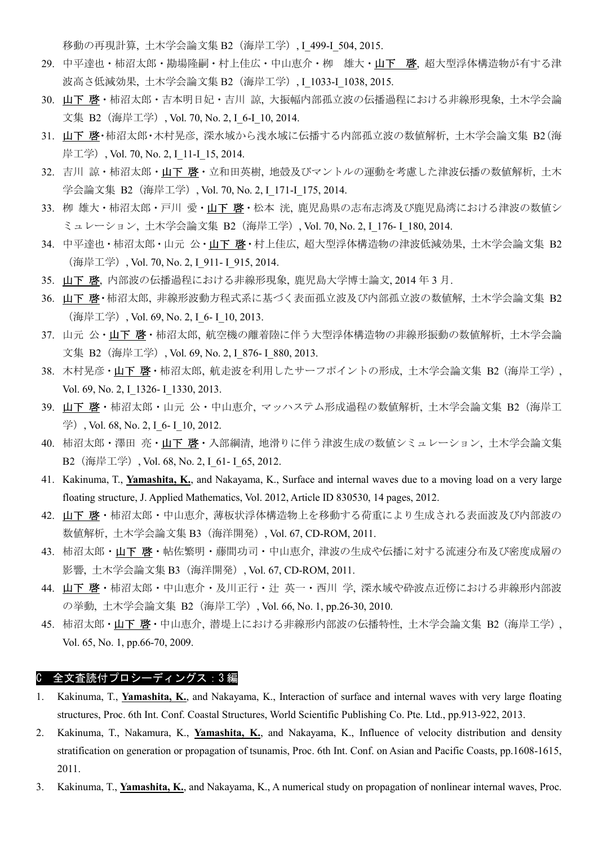移動の再現計算, 土木学会論文集 B2 (海岸工学), I 499-I 504, 2015.

- 29. 中平達也・柿沼太郎・勘場隆嗣・村上佳広・中山恵介・栁 雄大・山下 啓, 超大型浮体構造物が有する津 波高さ低減効果, 土木学会論文集 B2 (海岸工学), I 1033-I 1038, 2015.
- 30. 山下 啓・柿沼太郎・吉本明日妃・吉川 諒, 大振幅内部孤立波の伝播過程における非線形現象, 土木学会論 文集 B2 (海岸工学), Vol. 70, No. 2, I\_6-I\_10, 2014.
- 31. 山下 啓・柿沼太郎・木村晃彦, 深水域から浅水域に伝播する内部孤立波の数値解析, 土木学会論文集 B2(海 岸工学), Vol. 70, No. 2, I\_11-I\_15, 2014.
- 32. 吉川 諒・柿沼太郎・山下 啓・立和田英樹、地殻及びマントルの運動を考慮した津波伝播の数値解析、土木 学会論文集 B2 (海岸工学), Vol. 70, No. 2, I\_171-I\_175, 2014.
- 33. 栁 雄大・柿沼太郎・戸川 愛・山下 啓・松本 洸, 鹿児島県の志布志湾及び鹿児島湾における津波の数値シ ミュレーション,土木学会論文集 B2 (海岸工学), Vol. 70, No. 2, I 176- I 180, 2014.
- 34. 中平達也・柿沼太郎・山元 公・山下 啓・村上佳広, 超大型浮体構造物の津波低減効果, 土木学会論文集 B2 (海岸工学), Vol. 70, No. 2, I\_911- I\_915, 2014.
- 35. 山下 啓, 内部波の伝播過程における非線形現象, 鹿児島大学博士論文, 2014 年 3 月.
- 36. 山下 啓・柿沼太郎, 非線形波動方程式系に基づく表面孤立波及び内部孤立波の数値解, 土木学会論文集 B2 (海岸工学), Vol. 69, No. 2, I 6- I 10, 2013.
- 37. 山元 公·山下 啓·柿沼太郎, 航空機の離着陸に伴う大型浮体構造物の非線形振動の数値解析, 土木学会論 文集 B2 (海岸工学), Vol. 69, No. 2, I 876- I 880, 2013.
- 38. 木村晃彦·山下 啓·柿沼太郎, 航走波を利用したサーフポイントの形成, 土木学会論文集 B2 (海岸工学), Vol. 69, No. 2, I\_1326- I\_1330, 2013.
- 39. 山下 啓・柿沼太郎・山元 公・中山恵介, マッハステム形成過程の数値解析, 土木学会論文集 B2(海岸工  $\overset{\text{def}}{=}$ ), Vol. 68, No. 2, I\_6- I\_10, 2012.
- 40. 柿沼太郎・澤田 亮・山下 啓・入部綱清, 地滑りに伴う津波生成の数値シミュレーション, 土木学会論文集 B2 (海岸工学), Vol. 68, No. 2, I\_61- I\_65, 2012.
- 41. Kakinuma, T., **Yamashita, K.**, and Nakayama, K., Surface and internal waves due to a moving load on a very large floating structure, J. Applied Mathematics, Vol. 2012, Article ID 830530, 14 pages, 2012.
- 42. 山下 啓・柿沼太郎・中山恵介, 薄板状浮体構造物上を移動する荷重により生成される表面波及び内部波の 数値解析, 土木学会論文集 B3(海洋開発), Vol. 67, CD-ROM, 2011.
- 43. 柿沼太郎·山下 啓·帖佐繁明·藤間功司·中山恵介, 津波の生成や伝播に対する流速分布及び密度成層の 影響, 土木学会論文集 B3(海洋開発), Vol. 67, CD-ROM, 2011.
- 44. 山下 啓・柿沼太郎・中山恵介・及川正行・辻 英一・西川 学, 深水域や砕波点近傍における非線形内部波 の挙動, 土木学会論文集 B2(海岸工学), Vol. 66, No. 1, pp.26-30, 2010.
- 45. 柿沼太郎・山下 啓・中山恵介, 潜堤上における非線形内部波の伝播特性, 土木学会論文集 B2(海岸工学), Vol. 65, No. 1, pp.66-70, 2009.

#### C 全文査読付プロシーディングス:3 編

- 1. Kakinuma, T., **Yamashita, K.**, and Nakayama, K., Interaction of surface and internal waves with very large floating structures, Proc. 6th Int. Conf. Coastal Structures, World Scientific Publishing Co. Pte. Ltd., pp.913-922, 2013.
- 2. Kakinuma, T., Nakamura, K., **Yamashita, K.**, and Nakayama, K., Influence of velocity distribution and density stratification on generation or propagation of tsunamis, Proc. 6th Int. Conf. on Asian and Pacific Coasts, pp.1608-1615, 2011.
- 3. Kakinuma, T., **Yamashita, K.**, and Nakayama, K., A numerical study on propagation of nonlinear internal waves, Proc.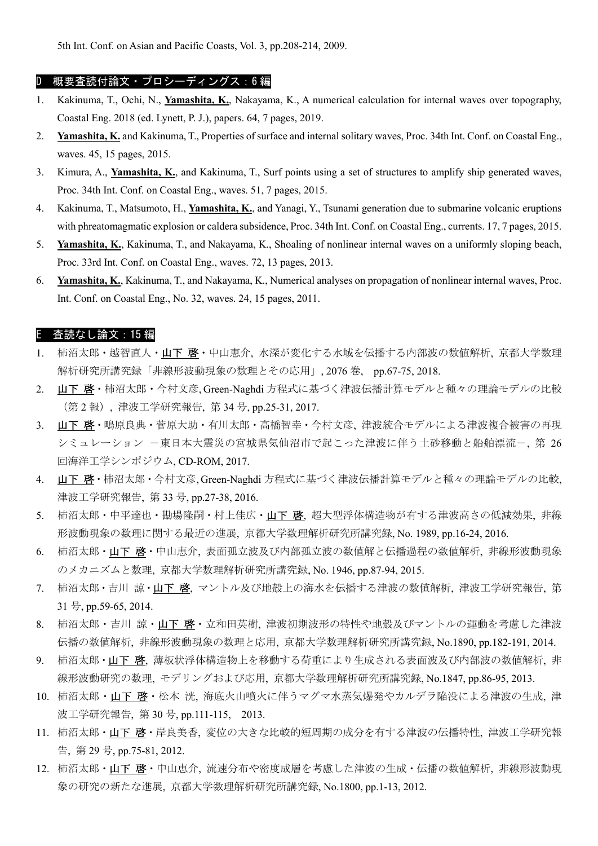5th Int. Conf. on Asian and Pacific Coasts, Vol. 3, pp.208-214, 2009.

## D 概要査読付論文・プロシーディングス:6 編

- 1. Kakinuma, T., Ochi, N., **Yamashita, K.**, Nakayama, K., A numerical calculation for internal waves over topography, Coastal Eng. 2018 (ed. Lynett, P. J.), papers. 64, 7 pages, 2019.
- 2. **Yamashita, K.** and Kakinuma, T., Properties of surface and internal solitary waves, Proc. 34th Int. Conf. on Coastal Eng., waves. 45, 15 pages, 2015.
- 3. Kimura, A., **Yamashita, K.**, and Kakinuma, T., Surf points using a set of structures to amplify ship generated waves, Proc. 34th Int. Conf. on Coastal Eng., waves. 51, 7 pages, 2015.
- 4. Kakinuma, T., Matsumoto, H., **Yamashita, K.**, and Yanagi, Y., Tsunami generation due to submarine volcanic eruptions with phreatomagmatic explosion or caldera subsidence, Proc. 34th Int. Conf. on Coastal Eng., currents. 17, 7 pages, 2015.
- 5. **Yamashita, K.**, Kakinuma, T., and Nakayama, K., Shoaling of nonlinear internal waves on a uniformly sloping beach, Proc. 33rd Int. Conf. on Coastal Eng., waves. 72, 13 pages, 2013.
- 6. **Yamashita, K.**, Kakinuma, T., and Nakayama, K., Numerical analyses on propagation of nonlinear internal waves, Proc. Int. Conf. on Coastal Eng., No. 32, waves. 24, 15 pages, 2011.

#### E 査読なし論文:15 編

- 1. 柿沼太郎・越智直人・山下 啓・中山恵介, 水深が変化する水域を伝播する内部波の数値解析, 京都大学数理 解析研究所講究録「非線形波動現象の数理とその応用」, 2076 巻, pp.67-75, 2018.
- 2. 山下 啓・柿沼太郎・今村文彦, Green-Naghdi 方程式に基づく津波伝播計算モデルと種々の理論モデルの比較 (第 2 報), 津波工学研究報告, 第 34 号, pp.25-31, 2017.
- 3. 山下 啓・鴫原良典・菅原大助・有川太郎・高橋智幸・今村文彦、津波統合モデルによる津波複合被害の再現 シミュレーション 一東日本大震災の宮城県気仙沼市で起こった津波に伴う土砂移動と船舶漂流ー, 第 26 回海洋工学シンポジウム, CD-ROM, 2017.
- 4. 山下 啓・柿沼太郎・今村文彦, Green-Naghdi 方程式に基づく津波伝播計算モデルと種々の理論モデルの比較, 津波工学研究報告, 第 33 号, pp.27-38, 2016.
- 5. 柿沼太郎・中平達也・勘場隆嗣・村上佳広・山下 啓,超大型浮体構造物が有する津波高さの低減効果,非線 形波動現象の数理に関する最近の進展, 京都大学数理解析研究所講究録, No. 1989, pp.16-24, 2016.
- 6. 柿沼太郎·山下 啓·中山恵介, 表面孤立波及び内部孤立波の数値解と伝播過程の数値解析, 非線形波動現象 のメカニズムと数理, 京都大学数理解析研究所講究録, No. 1946, pp.87-94, 2015.
- 7. 柿沼太郎・吉川 諒・山下 啓, マントル及び地殻上の海水を伝播する津波の数値解析, 津波工学研究報告, 第 31 号, pp.59-65, 2014.
- 8. 柿沼太郎・吉川 諒・山下 啓・立和田英樹, 津波初期波形の特性や地殻及びマントルの運動を考慮した津波 伝播の数値解析, 非線形波動現象の数理と応用, 京都大学数理解析研究所講究録, No.1890, pp.182-191, 2014.
- 9. 柿沼太郎・山下 啓, 薄板状浮体構造物上を移動する荷重により生成される表面波及び内部波の数値解析, 非 線形波動研究の数理, モデリングおよび応用, 京都大学数理解析研究所講究録, No.1847, pp.86-95, 2013.
- 10. 柿沼太郎・山下 啓・松本 洸, 海底火山噴火に伴うマグマ水蒸気爆発やカルデラ陥没による津波の生成, 津 波工学研究報告, 第 30 号, pp.111-115, 2013.
- 11. 柿沼太郎・山下 啓・岸良美香, 変位の大きな比較的短周期の成分を有する津波の伝播特性, 津波工学研究報 告, 第 29 号, pp.75-81, 2012.
- 12. 柿沼太郎・山下 啓・中山恵介, 流速分布や密度成層を考慮した津波の生成・伝播の数値解析, 非線形波動現 象の研究の新たな進展, 京都大学数理解析研究所講究録, No.1800, pp.1-13, 2012.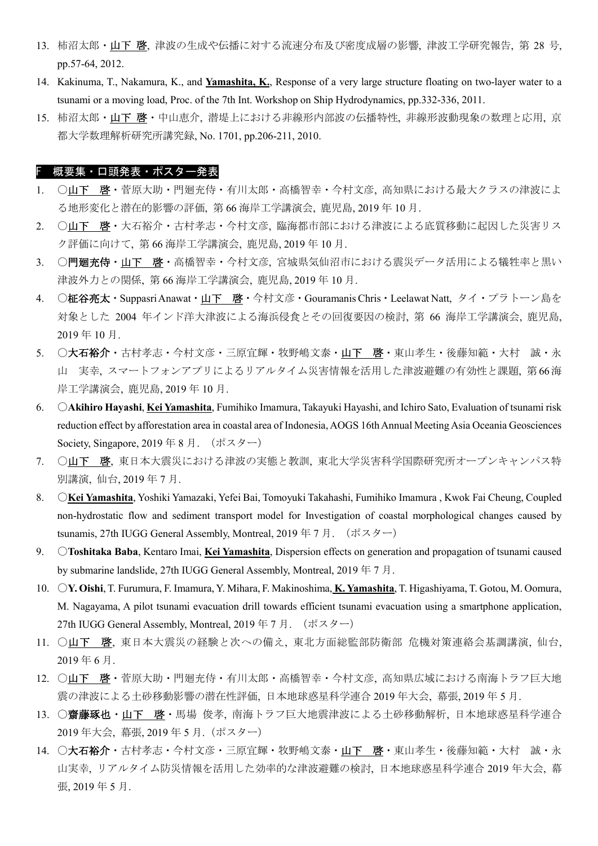- 13. 柿沼太郎・山下 啓, 津波の生成や伝播に対する流速分布及び密度成層の影響, 津波工学研究報告, 第 28 号, pp.57-64, 2012.
- 14. Kakinuma, T., Nakamura, K., and **Yamashita, K.**, Response of a very large structure floating on two-layer water to a tsunami or a moving load, Proc. of the 7th Int. Workshop on Ship Hydrodynamics, pp.332-336, 2011.
- 15. 柿沼太郎・山下 啓・中山恵介, 潜堤上における非線形内部波の伝播特性, 非線形波動現象の数理と応用, 京 都大学数理解析研究所講究録, No. 1701, pp.206-211, 2010.

# 概要集・口頭発表・ポスター発表

- 1. 〇山下 啓・菅原大助・門廻充侍・有川太郎・高橋智幸・今村文彦, 高知県における最大クラスの津波によ る地形変化と潜在的影響の評価, 第 66 海岸工学講演会, 鹿児島, 2019 年 10 月.
- 2. ○山下 啓・大石裕介・古村孝志・今村文彦、臨海都市部における津波による底質移動に起因した災害リス ク評価に向けて, 第 66 海岸工学講演会, 鹿児島, 2019 年 10 月.
- 3. ○門廻充侍・山下 啓・高橋智幸・今村文彦, 宮城県気仙沼市における震災データ活用による犠牲率と黒い 津波外力との関係, 第 66 海岸工学講演会, 鹿児島, 2019 年 10 月.
- 4. ○柾谷亮太・Suppasri Anawat・山下 啓・今村文彦・Gouramanis Chris・Leelawat Natt, タイ・プラトーン島を 対象とした 2004 年インド洋大津波による海浜侵食とその回復要因の検討, 第 66 海岸工学講演会, 鹿児島, 2019 年 10 月.
- 5. 〇大石裕介・古村孝志・今村文彦・三原宜輝・牧野嶋文泰・山下 啓·東山孝生・後藤知範・大村 誠・永 山 実幸, スマートフォンアプリによるリアルタイム災害情報を活用した津波避難の有効性と課題, 第 66 海 岸工学講演会, 鹿児島, 2019 年 10 月.
- 6. 〇**Akihiro Hayashi**, **Kei Yamashita**, Fumihiko Imamura, Takayuki Hayashi, and Ichiro Sato, Evaluation of tsunami risk reduction effect by afforestation area in coastal area of Indonesia, AOGS 16th Annual Meeting Asia Oceania Geosciences Society, Singapore, 2019年8月.  $(\mathbb{R} \times \mathbb{R})$
- 7. ○山下 啓, 東日本大震災における津波の実態と教訓, 東北大学災害科学国際研究所オープンキャンパス特 別講演, 仙台, 2019 年 7 月.
- 8. 〇**Kei Yamashita**, Yoshiki Yamazaki, Yefei Bai, Tomoyuki Takahashi, Fumihiko Imamura , Kwok Fai Cheung, Coupled non-hydrostatic flow and sediment transport model for Investigation of coastal morphological changes caused by tsunamis, 27th IUGG General Assembly, Montreal, 2019 年 7 月. (ポスター)
- 9. 〇**Toshitaka Baba**, Kentaro Imai, **Kei Yamashita**, Dispersion effects on generation and propagation of tsunami caused by submarine landslide, 27th IUGG General Assembly, Montreal, 2019 年 7 月.
- 10. 〇**Y. Oishi**, T. Furumura, F. Imamura, Y. Mihara, F. Makinoshima, **K. Yamashita**, T. Higashiyama, T. Gotou, M. Oomura, M. Nagayama, A pilot tsunami evacuation drill towards efficient tsunami evacuation using a smartphone application, 27th IUGG General Assembly, Montreal, 2019 年 7 月. (ポスター)
- 11. 〇山下 啓, 東日本大震災の経験と次への備え, 東北方面総監部防衛部 危機対策連絡会基調講演, 仙台, 2019 年 6 月.
- 12. 〇山下 啓・菅原大助・門廻充侍・有川太郎・高橋智幸・今村文彦, 高知県広域における南海トラフ巨大地 震の津波による土砂移動影響の潜在性評価, 日本地球惑星科学連合 2019 年大会, 幕張, 2019 年 5 月.
- 13. ○齋藤琢也・山下 啓・馬場 俊孝, 南海トラフ巨大地震津波による土砂移動解析, 日本地球惑星科学連合 2019 年大会, 幕張, 2019 年 5 月.(ポスター)
- 14. ○大石裕介・古村孝志・今村文彦・三原宜輝・牧野嶋文泰・山下 啓・東山孝生・後藤知範・大村 誠・永 山実幸, リアルタイム防災情報を活用した効率的な津波避難の検討, 日本地球惑星科学連合 2019 年大会, 幕 張, 2019 年 5 月.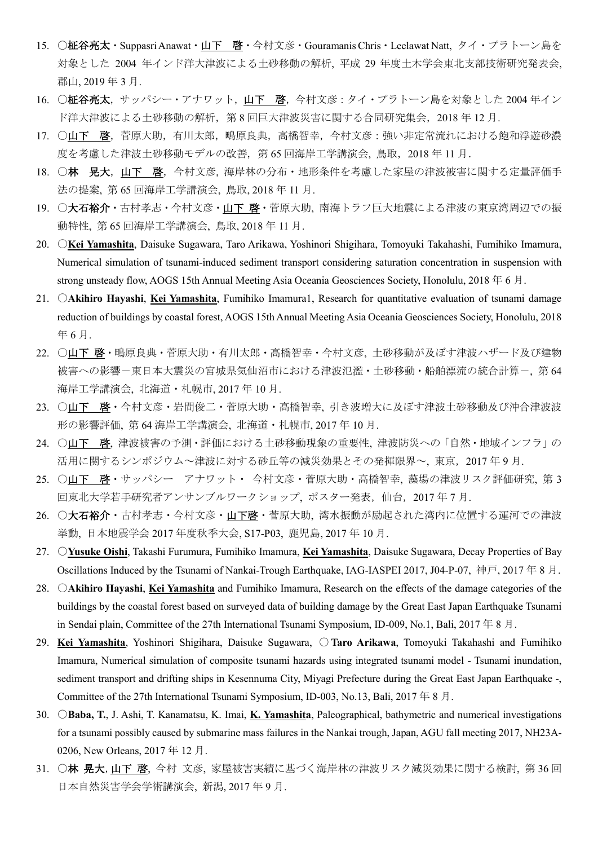- 15. 〇柾谷亮太・Suppasri Anawat・山下 啓・今村文彦・Gouramanis Chris・Leelawat Natt, タイ・プラトーン島を 対象とした 2004 年インド洋大津波による土砂移動の解析, 平成 29 年度土木学会東北支部技術研究発表会, 郡山, 2019 年 3 月.
- 16. ○柾谷亮太,サッパシー・アナワット,山下 啓,今村文彦:タイ・プラトーン島を対象とした2004年イン ド洋大津波による土砂移動の解析,第 8 回巨大津波災害に関する合同研究集会,2018 年 12 月.
- 17. ○山下 啓, 菅原大助, 有川太郎, 鴫原良典, 高橋智幸, 今村文彦:強い非定常流れにおける飽和浮遊砂濃 度を考慮した津波土砂移動モデルの改善,第 65 回海岸工学講演会, 鳥取,2018 年 11 月.
- 18. ○林 晃大,山下 啓,今村文彦,海岸林の分布・地形条件を考慮した家屋の津波被害に関する定量評価手 法の提案, 第 65 回海岸工学講演会, 鳥取, 2018 年 11 月.
- 19. ○大石裕介・古村孝志・今村文彦・山下 啓・菅原大助, 南海トラフ巨大地震による津波の東京湾周辺での振 動特性, 第 65 回海岸工学講演会, 鳥取, 2018 年 11 月.
- 20. 〇**Kei Yamashita**, Daisuke Sugawara, Taro Arikawa, Yoshinori Shigihara, Tomoyuki Takahashi, Fumihiko Imamura, Numerical simulation of tsunami-induced sediment transport considering saturation concentration in suspension with strong unsteady flow, AOGS 15th Annual Meeting Asia Oceania Geosciences Society, Honolulu, 2018 年 6 月.
- 21. 〇**Akihiro Hayashi**, **Kei Yamashita**, Fumihiko Imamura1, Research for quantitative evaluation of tsunami damage reduction of buildings by coastal forest, AOGS 15th Annual Meeting Asia Oceania Geosciences Society, Honolulu, 2018 年 6 月.
- 22. ○山下 啓・鴫原良典・菅原大助・有川太郎・高橋智幸・今村文彦, 土砂移動が及ぼす津波ハザード及び建物 被害への影響-東日本大震災の宮城県気仙沼市における津波氾濫・土砂移動・船舶漂流の統合計算-, 第64 海岸工学講演会, 北海道・札幌市, 2017 年 10 月.
- 23. ○山下 啓·今村文彦·岩間俊二·菅原大助·高橋智幸, 引き波増大に及ぼす津波土砂移動及び沖合津波波 形の影響評価, 第 64 海岸工学講演会, 北海道・札幌市, 2017 年 10 月.
- 24. 〇山下 啓, 津波被害の予測・評価における土砂移動現象の重要性, 津波防災への「自然・地域インフラ」の 活用に関するシンポジウム~津波に対する砂丘等の減災効果とその発揮限界~, 東京,2017 年 9 月.
- 25. 〇山下 啓・サッパシー アナワット・ 今村文彦・菅原大助・高橋智幸, 藻場の津波リスク評価研究, 第3 回東北大学若手研究者アンサンブルワークショップ, ポスター発表,仙台,2017 年 7 月.
- 26. ○大石裕介・古村孝志・今村文彦・山下啓・菅原大助, 湾水振動が励起された湾内に位置する運河での津波 挙動, 日本地震学会 2017 年度秋季大会, S17-P03, 鹿児島, 2017 年 10 月.
- 27. ○**Yusuke Oishi**, Takashi Furumura, Fumihiko Imamura, **Kei Yamashita**, Daisuke Sugawara, Decay Properties of Bay Oscillations Induced by the Tsunami of Nankai-Trough Earthquake, IAG-IASPEI 2017, J04-P-07, 神戸, 2017 年 8 月.
- 28. ○**Akihiro Hayashi**, **Kei Yamashita** and Fumihiko Imamura, Research on the effects of the damage categories of the buildings by the coastal forest based on surveyed data of building damage by the Great East Japan Earthquake Tsunami in Sendai plain, Committee of the 27th International Tsunami Symposium, ID-009, No.1, Bali, 2017 年 8 月.
- 29. **Kei Yamashita**, Yoshinori Shigihara, Daisuke Sugawara, ○**Taro Arikawa**, Tomoyuki Takahashi and Fumihiko Imamura, Numerical simulation of composite tsunami hazards using integrated tsunami model - Tsunami inundation, sediment transport and drifting ships in Kesennuma City, Miyagi Prefecture during the Great East Japan Earthquake -, Committee of the 27th International Tsunami Symposium, ID-003, No.13, Bali, 2017 年 8 月.
- 30. ○**Baba, T.**, J. Ashi, T. Kanamatsu, K. Imai, **K. Yamashita**, Paleographical, bathymetric and numerical investigations for a tsunami possibly caused by submarine mass failures in the Nankai trough, Japan, AGU fall meeting 2017, NH23A-0206, New Orleans, 2017 年 12 月.
- 31. ○林 晃大,山下 啓, 今村 文彦, 家屋被害実績に基づく海岸林の津波リスク減災効果に関する検討, 第36回 日本自然災害学会学術講演会, 新潟, 2017 年 9 月.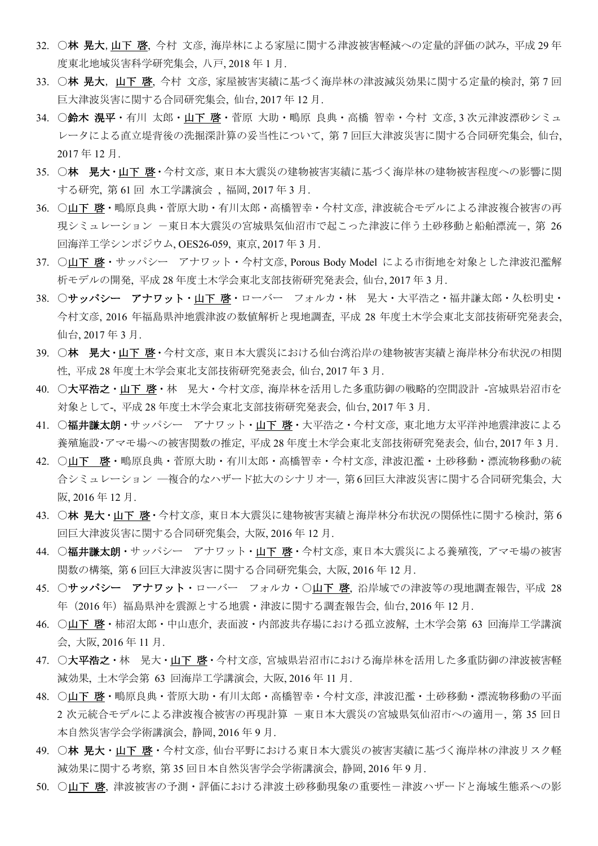- 32. ○林 晃大,山下 啓, 今村 文彦, 海岸林による家屋に関する津波被害軽減への定量的評価の試み, 平成29年 度東北地域災害科学研究集会, 八戸, 2018 年 1 月.
- 33. ○林 晃大, 山下 啓, 今村 文彦, 家屋被害実績に基づく海岸林の津波減災効果に関する定量的検討, 第7回 巨大津波災害に関する合同研究集会, 仙台, 2017 年 12 月.
- 34. ○鈴木 滉平・有川 太郎・山下 啓・菅原 大助・鴫原 良典・高橋 智幸・今村 文彦, 3 次元津波漂砂シミュ レータによる直立堤背後の洗掘深計算の妥当性について, 第 7 回巨大津波災害に関する合同研究集会, 仙台, 2017 年 12 月.
- 35. ○林 晃大・山下 啓・今村文彦, 東日本大震災の建物被害実績に基づく海岸林の建物被害程度への影響に関 する研究, 第 61 回 水工学講演会 , 福岡, 2017 年 3 月.
- 36. ○山下 啓・鴫原良典・菅原大助・有川太郎・高橋智幸・今村文彦, 津波統合モデルによる津波複合被害の再 現シミュレーション - 東日本大震災の宮城県気仙沼市で起こった津波に伴う土砂移動と船舶漂流-, 第 26 回海洋工学シンポジウム, OES26-059, 東京, 2017 年 3 月.
- 37. ○山下 啓・サッパシー アナワット・今村文彦, Porous Body Model による市街地を対象とした津波氾濫解 析モデルの開発, 平成 28 年度土木学会東北支部技術研究発表会, 仙台, 2017 年 3 月.
- 38. ○サッパシー アナワット・山下 啓・ローバー フォルカ・林 晃大・大平浩之・福井謙太郎・久松明史・ 今村文彦, 2016 年福島県沖地震津波の数値解析と現地調査, 平成 28 年度土木学会東北支部技術研究発表会, 仙台, 2017 年 3 月.
- 39. ○林 晃大・山下 啓・今村文彦, 東日本大震災における仙台湾沿岸の建物被害実績と海岸林分布状況の相関 性, 平成 28 年度土木学会東北支部技術研究発表会, 仙台, 2017 年 3 月.
- 40. ○大平浩之・山下 啓・林 晃大・今村文彦, 海岸林を活用した多重防御の戦略的空間設計 -宮城県岩沼市を 対象として-, 平成 28 年度土木学会東北支部技術研究発表会, 仙台, 2017 年 3 月.
- 41. ○福井謙太朗・サッパシー アナワット・山下 啓・大平浩之・今村文彦, 東北地方太平洋沖地震津波による 養殖施設・アマモ場への被害関数の推定, 平成 28 年度土木学会東北支部技術研究発表会, 仙台, 2017 年 3 月.
- 42. ○山下 啓・鴫原良典・菅原大助・有川太郎・高橋智幸・今村文彦、津波氾濫・土砂移動・漂流物移動の統 合シミュレーション ―複合的なハザード拡大のシナリオ―, 第 6回巨大津波災害に関する合同研究集会, 大 阪, 2016 年 12 月.
- 43. ○林 晃大・山下 啓・今村文彦, 東日本大震災に建物被害実績と海岸林分布状況の関係性に関する検討, 第6 回巨大津波災害に関する合同研究集会, 大阪, 2016 年 12 月.
- 44. ○福井謙太朗・サッパシー アナワット・山下 啓・今村文彦, 東日本大震災による養殖筏, アマモ場の被害 関数の構築, 第 6 回巨大津波災害に関する合同研究集会, 大阪, 2016 年 12 月.
- 45. ○サッパシー アナワット・ローバー フォルカ・○山下 啓, 沿岸域での津波等の現地調査報告, 平成 28 年(2016 年)福島県沖を震源とする地震・津波に関する調査報告会, 仙台, 2016 年 12 月.
- 46. ○山下 啓・柿沼太郎・中山恵介, 表面波・内部波共存場における孤立波解, 土木学会第 63 回海岸工学講演 会, 大阪, 2016 年 11 月.
- 47. ○大平浩之・林 晃大・山下 啓・今村文彦, 宮城県岩沼市における海岸林を活用した多重防御の津波被害軽 減効果, 土木学会第 63 回海岸工学講演会, 大阪, 2016 年 11 月.
- 48. ○山下 啓・鴫原良典・菅原大助・有川太郎・高橋智幸・今村文彦, 津波氾濫・土砂移動・漂流物移動の平面 2 次元統合モデルによる津波複合被害の再現計算 -東日本大震災の宮城県気仙沼市への適用ー, 第 35 回日 本自然災害学会学術講演会, 静岡, 2016 年 9 月.
- 49. ○林 晃大・山下 啓・今村文彦, 仙台平野における東日本大震災の被害実績に基づく海岸林の津波リスク軽 減効果に関する考察, 第 35 回日本自然災害学会学術講演会, 静岡, 2016 年 9 月.
- 50. ○山下 啓, 津波被害の予測・評価における津波土砂移動現象の重要性-津波ハザードと海域生態系への影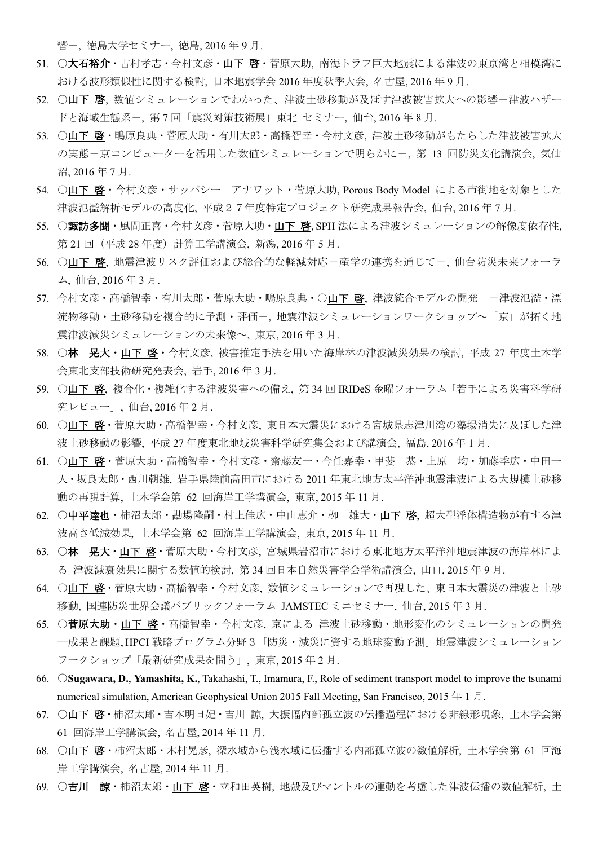響-, 徳島大学セミナー, 徳島, 2016 年 9 月.

- 51. ○大石裕介・古村孝志・今村文彦・山下 啓・菅原大助, 南海トラフ巨大地震による津波の東京湾と相模湾に おける波形類似性に関する検討, 日本地震学会 2016 年度秋季大会, 名古屋, 2016 年 9 月.
- 52. ○山下 啓, 数値シミュレーションでわかった、津波土砂移動が及ぼす津波被害拡大への影響ー津波ハザー ドと海域生態系-, 第 7 回「震災対策技術展」東北 セミナー, 仙台, 2016 年 8 月.
- 53. ○山下 啓・鴫原良典・菅原大助・有川太郎・高橋智幸・今村文彦, 津波土砂移動がもたらした津波被害拡大 の実態-京コンピューターを活用した数値シミュレーションで明らかに-, 第 13 回防災文化講演会, 気仙 沼, 2016 年 7 月.
- 54. ○山下 啓・今村文彦・サッパシー アナワット・菅原大助, Porous Body Model による市街地を対象とした 津波氾濫解析モデルの高度化, 平成27年度特定プロジェクト研究成果報告会, 仙台, 2016 年 7 月.
- 55. ○諏訪多聞・風間正喜・今村文彦・菅原大助・山下 啓, SPH 法による津波シミュレーションの解像度依存性, 第 21 回(平成 28 年度)計算工学講演会, 新潟, 2016 年 5 月.
- 56. 〇山下 啓, 地震津波リスク評価および総合的な軽減対応ー産学の連携を通じてー, 仙台防災未来フォーラ ム, 仙台, 2016 年 3 月.
- 57. 今村文彦・高橋智幸・有川太郎・菅原大助・鴫原良典・○山下 啓, 津波統合モデルの開発 -津波氾濫・漂 流物移動・土砂移動を複合的に予測・評価-, 地震津波シミュレーションワークショップ~「京」が拓く地 震津波減災シミュレーションの未来像~, 東京, 2016 年 3 月.
- 58. ○林 晃大・山下 啓・今村文彦, 被害推定手法を用いた海岸林の津波減災効果の検討, 平成 27 年度土木学 会東北支部技術研究発表会, 岩手, 2016 年 3 月.
- 59. ○山下 啓, 複合化·複雑化する津波災害への備え, 第34回 IRIDeS 金曜フォーラム「若手による災害科学研 究レビュー」, 仙台, 2016 年 2 月.
- 60. ○山下 啓・菅原大助・高橋智幸・今村文彦, 東日本大震災における宮城県志津川湾の藻場消失に及ぼした津 波土砂移動の影響, 平成 27 年度東北地域災害科学研究集会および講演会, 福島, 2016 年 1 月.
- 61. ○山下 啓・菅原大助・高橋智幸・今村文彦・齋藤友一・今任嘉幸・甲斐 恭・上原 均・加藤季広・中田一 人・坂良太郎・西川朝雄, 岩手県陸前高田市における 2011 年東北地方太平洋沖地震津波による大規模土砂移 動の再現計算, 土木学会第 62 回海岸工学講演会, 東京, 2015 年 11 月.
- 62. ○中平達也・柿沼太郎・勘場隆嗣・村上佳広・中山恵介・栁 雄大・山下 啓, 超大型浮体構造物が有する津 波高さ低減効果, 土木学会第 62 回海岸工学講演会, 東京, 2015 年 11 月.
- 63. ○林 晃大・山下 啓・菅原大助・今村文彦, 宮城県岩沼市における東北地方太平洋沖地震津波の海岸林によ る 津波減衰効果に関する数値的検討, 第 34 回日本自然災害学会学術講演会, 山口, 2015 年 9 月.
- 64. ○山下 啓・菅原大助・高橋智幸・今村文彦, 数値シミュレーションで再現した、東日本大震災の津波と土砂 移動, 国連防災世界会議パブリックフォーラム JAMSTEC ミニセミナー, 仙台, 2015 年 3 月.
- 65. ○菅原大助・山下 啓・高橋智幸・今村文彦, 京による 津波土砂移動・地形変化のシミュレーションの開発 ―成果と課題, HPCI 戦略プログラム分野3「防災・減災に資する地球変動予測」地震津波シミュレーション ワークショップ「最新研究成果を問う」, 東京, 2015 年 2 月.
- 66. ○**Sugawara, D.**, **Yamashita, K.**, Takahashi, T., Imamura, F., Role of sediment transport model to improve the tsunami numerical simulation, American Geophysical Union 2015 Fall Meeting, San Francisco, 2015 年 1 月.
- 67. ○山下 啓・柿沼太郎・吉本明日妃・吉川 諒, 大振幅内部孤立波の伝播過程における非線形現象, 土木学会第 61 回海岸工学講演会, 名古屋, 2014 年 11 月.
- 68. ○山下 啓・柿沼太郎・木村晃彦, 深水域から浅水域に伝播する内部孤立波の数値解析, 土木学会第 61 回海 岸工学講演会, 名古屋, 2014 年 11 月.
- 69. ○吉川 諒・柿沼太郎・山下 啓・立和田英樹, 地殻及びマントルの運動を考慮した津波伝播の数値解析, 土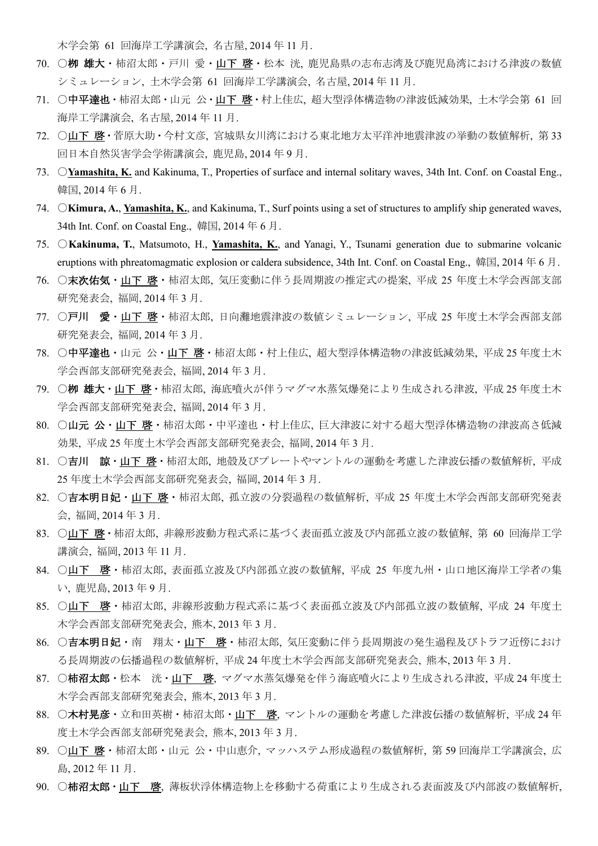木学会第 61 回海岸工学講演会, 名古屋, 2014 年 11 月.

- 70. ○栁 雄大・柿沼太郎・戸川 愛・山下 啓・松本 洸, 鹿児島県の志布志湾及び鹿児島湾における津波の数値 シミュレーション, 土木学会第 61 回海岸工学講演会, 名古屋, 2014 年 11 月.
- 71. ○中平達也・柿沼太郎・山元 公・山下 啓・村上佳広, 超大型浮体構造物の津波低減効果, 土木学会第 61 回 海岸工学講演会, 名古屋, 2014 年 11 月.
- 72. ○山下 啓・菅原大助・今村文彦, 宮城県女川湾における東北地方太平洋沖地震津波の挙動の数値解析, 第 33 回日本自然災害学会学術講演会, 鹿児島, 2014 年 9 月.
- 73. ○**Yamashita, K.** and Kakinuma, T., Properties of surface and internal solitary waves, 34th Int. Conf. on Coastal Eng., 韓国, 2014 年 6 月.
- 74. ○**Kimura, A.**, **Yamashita, K.**, and Kakinuma, T., Surf points using a set of structures to amplify ship generated waves, 34th Int. Conf. on Coastal Eng., 韓国, 2014 年 6 月.
- 75. ○**Kakinuma, T.**, Matsumoto, H., **Yamashita, K.**, and Yanagi, Y., Tsunami generation due to submarine volcanic eruptions with phreatomagmatic explosion or caldera subsidence, 34th Int. Conf. on Coastal Eng., 韓国, 2014 年 6月.
- 76. ○末次佑気・山下 啓・柿沼太郎, 気圧変動に伴う長周期波の推定式の提案, 平成 25 年度土木学会西部支部 研究発表会, 福岡, 2014 年 3 月.
- 77. ○戸川 愛・山下 啓・柿沼太郎, 日向灘地震津波の数値シミュレーション, 平成 25 年度土木学会西部支部 研究発表会, 福岡, 2014 年 3 月.
- 78. ○中平達也・山元 公・山下 啓・柿沼太郎・村上佳広, 超大型浮体構造物の津波低減効果, 平成 25 年度土木 学会西部支部研究発表会, 福岡, 2014 年 3 月.
- 79. ○栁 雄大・山下 啓・柿沼太郎, 海底噴火が伴うマグマ水蒸気爆発により生成される津波, 平成 25 年度土木 学会西部支部研究発表会, 福岡, 2014 年 3 月.
- 80. ○山元 公・山下 啓・柿沼太郎・中平達也・村上佳広, 巨大津波に対する超大型浮体構造物の津波高さ低減 効果, 平成 25 年度土木学会西部支部研究発表会, 福岡, 2014 年 3 月.
- 81. ○吉川 諒·山下 啓·柿沼太郎, 地殻及びプレートやマントルの運動を考慮した津波伝播の数値解析, 平成 25 年度土木学会西部支部研究発表会, 福岡, 2014 年 3 月.
- 82. ○吉本明日妃・山下 啓・柿沼太郎, 孤立波の分裂過程の数値解析, 平成 25 年度土木学会西部支部研究発表 会, 福岡, 2014 年 3 月.
- 83. ○山下 啓·柿沼太郎, 非線形波動方程式系に基づく表面孤立波及び内部孤立波の数値解, 第 60 回海岸工学 講演会, 福岡, 2013 年 11 月.
- 84. ○山下 啓・柿沼太郎, 表面孤立波及び内部孤立波の数値解, 平成 25 年度九州・山口地区海岸工学者の集 い, 鹿児島, 2013 年 9 月.
- 85. ○山下 啓・柿沼太郎, 非線形波動方程式系に基づく表面孤立波及び内部孤立波の数値解, 平成 24 年度土 木学会西部支部研究発表会, 熊本, 2013 年 3 月.
- 86. ○吉本明日妃・南 翔太・山下 啓・柿沼太郎, 気圧変動に伴う長周期波の発生過程及びトラフ近傍におけ る長周期波の伝播過程の数値解析, 平成 24 年度土木学会西部支部研究発表会, 熊本, 2013 年 3 月.
- 87. 〇柿沼太郎・松本 洸・山下 啓, マグマ水蒸気爆発を伴う海底噴火により生成される津波, 平成 24 年度十 木学会西部支部研究発表会, 熊本, 2013 年 3 月.
- 88. ○木村晃彦・立和田英樹・柿沼太郎・山下 啓, マントルの運動を考慮した津波伝播の数値解析, 平成24年 度土木学会西部支部研究発表会, 熊本, 2013 年 3 月.
- 89. ○山下 啓・柿沼太郎・山元 公・中山恵介, マッハステム形成過程の数値解析, 第 59 回海岸工学講演会, 広 島, 2012 年 11 月.
- 90. ○柿沼太郎・山下 啓, 薄板状浮体構造物上を移動する荷重により生成される表面波及び内部波の数値解析,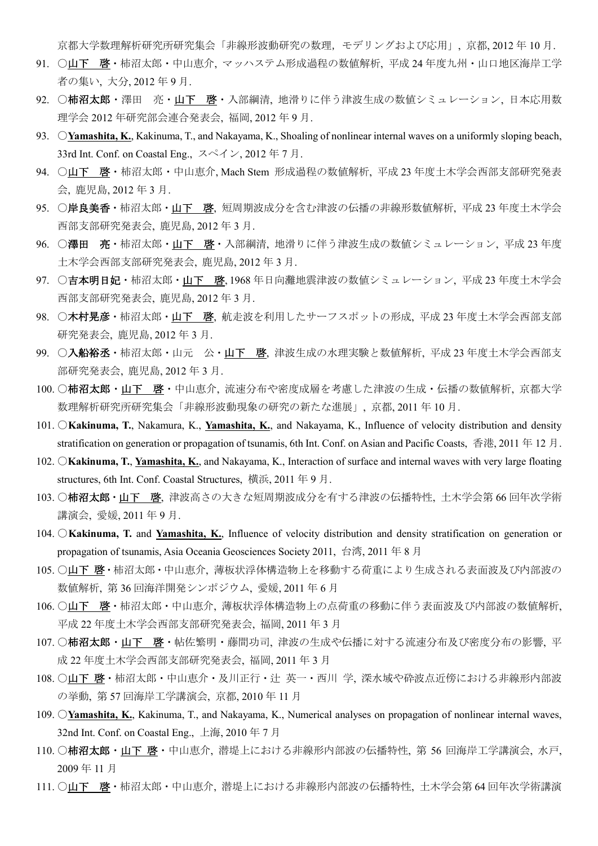京都大学数理解析研究所研究集会「非線形波動研究の数理,モデリングおよび応用」, 京都, 2012 年 10 月.

- 91. ○山下 啓・柿沼太郎・中山恵介, マッハステム形成過程の数値解析, 平成 24 年度九州・山口地区海岸工学 者の集い, 大分, 2012 年 9 月.
- 92. ○柿沼太郎・澤田 亮・山下 啓・入部綱清, 地滑りに伴う津波生成の数値シミュレーション, 日本応用数 理学会 2012 年研究部会連合発表会, 福岡, 2012 年 9 月.
- 93. **OYamashita, K.**, Kakinuma, T., and Nakayama, K., Shoaling of nonlinear internal waves on a uniformly sloping beach, 33rd Int. Conf. on Coastal Eng., スペイン, 2012年7月.
- 94. ○山下 啓・柿沼太郎・中山恵介, Mach Stem 形成過程の数値解析, 平成 23 年度土木学会西部支部研究発表 会, 鹿児島, 2012 年 3 月.
- 95. ○岸良美香・柿沼太郎・山下 啓, 短周期波成分を含む津波の伝播の非線形数値解析, 平成 23 年度土木学会 西部支部研究発表会, 鹿児島, 2012 年 3 月.
- 96. ○澤田 亮・柿沼太郎・山下 啓・入部綱清, 地滑りに伴う津波生成の数値シミュレーション, 平成 23 年度 土木学会西部支部研究発表会, 鹿児島, 2012 年 3 月.
- 97. ○吉本明日妃・柿沼太郎・山下 啓, 1968年日向灘地震津波の数値シミュレーション, 平成 23年度土木学会 西部支部研究発表会, 鹿児島, 2012 年 3 月.
- 98. ○木村晃彦・柿沼太郎・山下 啓, 航走波を利用したサーフスポットの形成, 平成 23年度土木学会西部支部 研究発表会, 鹿児島, 2012 年 3 月.
- 99. ○入船裕丞・柿沼太郎・山元 公・山下 啓, 津波生成の水理実験と数値解析, 平成 23 年度土木学会西部支 部研究発表会, 鹿児島, 2012 年 3 月.
- 100. ○柿沼太郎・山下 啓・中山恵介, 流速分布や密度成層を考慮した津波の生成・伝播の数値解析, 京都大学 数理解析研究所研究集会「非線形波動現象の研究の新たな進展」, 京都, 2011 年 10 月.
- 101. ○**Kakinuma, T.**, Nakamura, K., **Yamashita, K.**, and Nakayama, K., Influence of velocity distribution and density stratification on generation or propagation of tsunamis, 6th Int. Conf. on Asian and Pacific Coasts, 香港, 2011 年 12 月.
- 102. ○**Kakinuma, T.**, **Yamashita, K.**, and Nakayama, K., Interaction of surface and internal waves with very large floating structures, 6th Int. Conf. Coastal Structures, 横浜, 2011 年 9 月.
- 103. ○柿沼太郎・山下 啓, 津波高さの大きな短周期波成分を有する津波の伝播特性, 土木学会第 66 回年次学術 講演会, 愛媛, 2011 年 9 月.
- 104. ○**Kakinuma, T.** and **Yamashita, K.**, Influence of velocity distribution and density stratification on generation or propagation of tsunamis, Asia Oceania Geosciences Society 2011, 台湾, 2011 年 8 月
- 105. ○山下 啓・柿沼太郎・中山恵介, 薄板状浮体構造物上を移動する荷重により生成される表面波及び内部波の 数値解析, 第 36 回海洋開発シンポジウム, 愛媛, 2011 年 6 月
- 106. ○山下 啓・柿沼太郎・中山恵介, 薄板状浮体構造物上の点荷重の移動に伴う表面波及び内部波の数値解析, 平成 22 年度土木学会西部支部研究発表会, 福岡, 2011 年 3 月
- 107. ○柿沼太郎・山下 啓・帖佐繁明・藤間功司, 津波の生成や伝播に対する流速分布及び密度分布の影響, 平 成 22 年度土木学会西部支部研究発表会, 福岡, 2011 年 3 月
- 108. 〇山下 啓・柿沼太郎・中山恵介・及川正行・汁 英一・西川 学, 深水域や砕波点近傍における非線形内部波 の挙動, 第 57 回海岸工学講演会, 京都, 2010 年 11 月
- 109. ○**Yamashita, K.**, Kakinuma, T., and Nakayama, K., Numerical analyses on propagation of nonlinear internal waves, 32nd Int. Conf. on Coastal Eng., 上海, 2010 年 7 月
- 110. ○柿沼太郎・山下 啓・中山恵介, 潜堤上における非線形内部波の伝播特性, 第 56 回海岸工学講演会, 水戸, 2009 年 11 月
- 111. ○山下 啓・柿沼太郎・中山恵介, 潜堤上における非線形内部波の伝播特性, 土木学会第 64 回年次学術講演